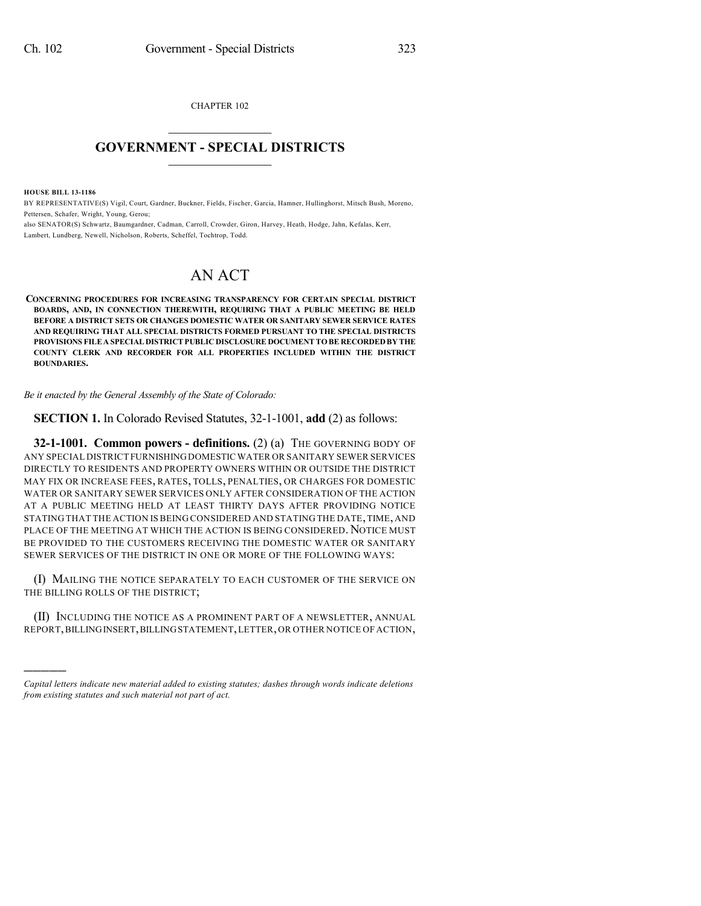CHAPTER 102  $\mathcal{L}_\text{max}$  . The set of the set of the set of the set of the set of the set of the set of the set of the set of the set of the set of the set of the set of the set of the set of the set of the set of the set of the set

## **GOVERNMENT - SPECIAL DISTRICTS**  $\_$   $\_$

**HOUSE BILL 13-1186**

)))))

BY REPRESENTATIVE(S) Vigil, Court, Gardner, Buckner, Fields, Fischer, Garcia, Hamner, Hullinghorst, Mitsch Bush, Moreno, Pettersen, Schafer, Wright, Young, Gerou;

also SENATOR(S) Schwartz, Baumgardner, Cadman, Carroll, Crowder, Giron, Harvey, Heath, Hodge, Jahn, Kefalas, Kerr, Lambert, Lundberg, Newell, Nicholson, Roberts, Scheffel, Tochtrop, Todd.

## AN ACT

**CONCERNING PROCEDURES FOR INCREASING TRANSPARENCY FOR CERTAIN SPECIAL DISTRICT BOARDS, AND, IN CONNECTION THEREWITH, REQUIRING THAT A PUBLIC MEETING BE HELD BEFORE A DISTRICT SETS OR CHANGES DOMESTIC WATER OR SANITARY SEWER SERVICE RATES AND REQUIRING THAT ALL SPECIAL DISTRICTS FORMED PURSUANT TO THE SPECIAL DISTRICTS PROVISIONS FILEA SPECIAL DISTRICT PUBLIC DISCLOSURE DOCUMENT TO BE RECORDED BY THE COUNTY CLERK AND RECORDER FOR ALL PROPERTIES INCLUDED WITHIN THE DISTRICT BOUNDARIES.**

*Be it enacted by the General Assembly of the State of Colorado:*

**SECTION 1.** In Colorado Revised Statutes, 32-1-1001, **add** (2) as follows:

**32-1-1001. Common powers - definitions.** (2) (a) THE GOVERNING BODY OF ANY SPECIAL DISTRICT FURNISHINGDOMESTICWATER OR SANITARY SEWER SERVICES DIRECTLY TO RESIDENTS AND PROPERTY OWNERS WITHIN OR OUTSIDE THE DISTRICT MAY FIX OR INCREASE FEES, RATES, TOLLS, PENALTIES, OR CHARGES FOR DOMESTIC WATER OR SANITARY SEWER SERVICES ONLY AFTER CONSIDERATION OF THE ACTION AT A PUBLIC MEETING HELD AT LEAST THIRTY DAYS AFTER PROVIDING NOTICE STATING THAT THE ACTION IS BEING CONSIDERED AND STATING THE DATE,TIME, AND PLACE OF THE MEETING AT WHICH THE ACTION IS BEING CONSIDERED. NOTICE MUST BE PROVIDED TO THE CUSTOMERS RECEIVING THE DOMESTIC WATER OR SANITARY SEWER SERVICES OF THE DISTRICT IN ONE OR MORE OF THE FOLLOWING WAYS:

(I) MAILING THE NOTICE SEPARATELY TO EACH CUSTOMER OF THE SERVICE ON THE BILLING ROLLS OF THE DISTRICT;

(II) INCLUDING THE NOTICE AS A PROMINENT PART OF A NEWSLETTER, ANNUAL REPORT,BILLINGINSERT,BILLINGSTATEMENT,LETTER,OR OTHER NOTICE OF ACTION,

*Capital letters indicate new material added to existing statutes; dashes through words indicate deletions from existing statutes and such material not part of act.*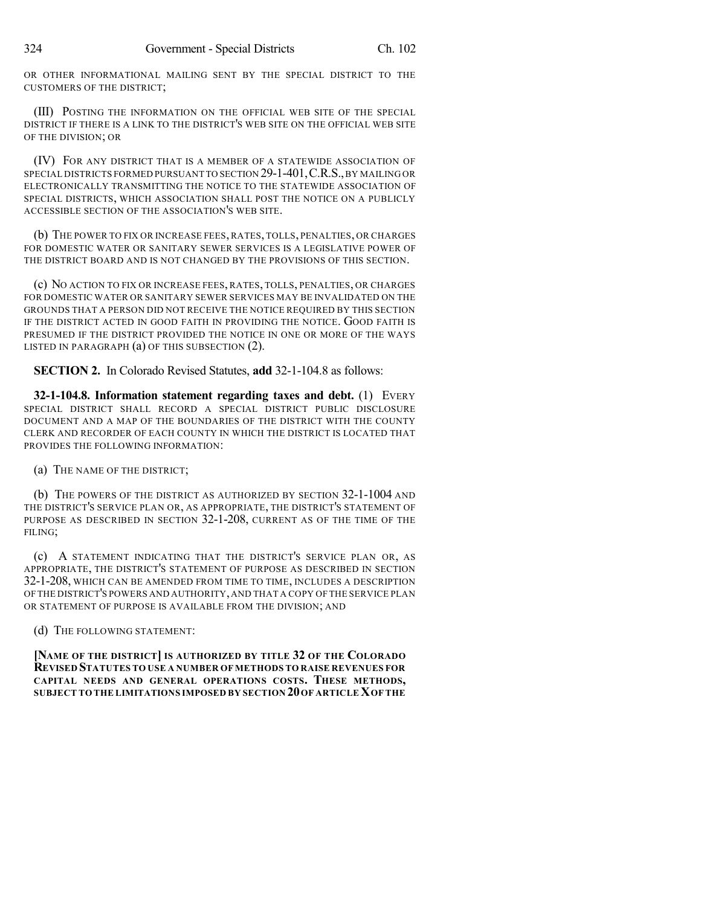OR OTHER INFORMATIONAL MAILING SENT BY THE SPECIAL DISTRICT TO THE CUSTOMERS OF THE DISTRICT;

(III) POSTING THE INFORMATION ON THE OFFICIAL WEB SITE OF THE SPECIAL DISTRICT IF THERE IS A LINK TO THE DISTRICT'S WEB SITE ON THE OFFICIAL WEB SITE OF THE DIVISION; OR

(IV) FOR ANY DISTRICT THAT IS A MEMBER OF A STATEWIDE ASSOCIATION OF SPECIAL DISTRICTS FORMED PURSUANT TO SECTION 29-1-401,C.R.S.,BY MAILING OR ELECTRONICALLY TRANSMITTING THE NOTICE TO THE STATEWIDE ASSOCIATION OF SPECIAL DISTRICTS, WHICH ASSOCIATION SHALL POST THE NOTICE ON A PUBLICLY ACCESSIBLE SECTION OF THE ASSOCIATION'S WEB SITE.

(b) THE POWER TO FIX OR INCREASE FEES, RATES, TOLLS, PENALTIES, OR CHARGES FOR DOMESTIC WATER OR SANITARY SEWER SERVICES IS A LEGISLATIVE POWER OF THE DISTRICT BOARD AND IS NOT CHANGED BY THE PROVISIONS OF THIS SECTION.

(c) NO ACTION TO FIX OR INCREASE FEES, RATES, TOLLS, PENALTIES, OR CHARGES FOR DOMESTIC WATER OR SANITARY SEWER SERVICES MAY BE INVALIDATED ON THE GROUNDS THAT A PERSON DID NOT RECEIVE THE NOTICE REQUIRED BY THIS SECTION IF THE DISTRICT ACTED IN GOOD FAITH IN PROVIDING THE NOTICE. GOOD FAITH IS PRESUMED IF THE DISTRICT PROVIDED THE NOTICE IN ONE OR MORE OF THE WAYS LISTED IN PARAGRAPH (a) OF THIS SUBSECTION (2).

**SECTION 2.** In Colorado Revised Statutes, **add** 32-1-104.8 as follows:

**32-1-104.8. Information statement regarding taxes and debt.** (1) EVERY SPECIAL DISTRICT SHALL RECORD A SPECIAL DISTRICT PUBLIC DISCLOSURE DOCUMENT AND A MAP OF THE BOUNDARIES OF THE DISTRICT WITH THE COUNTY CLERK AND RECORDER OF EACH COUNTY IN WHICH THE DISTRICT IS LOCATED THAT PROVIDES THE FOLLOWING INFORMATION:

(a) THE NAME OF THE DISTRICT;

(b) THE POWERS OF THE DISTRICT AS AUTHORIZED BY SECTION 32-1-1004 AND THE DISTRICT'S SERVICE PLAN OR, AS APPROPRIATE, THE DISTRICT'S STATEMENT OF PURPOSE AS DESCRIBED IN SECTION 32-1-208, CURRENT AS OF THE TIME OF THE FILING;

(c) A STATEMENT INDICATING THAT THE DISTRICT'S SERVICE PLAN OR, AS APPROPRIATE, THE DISTRICT'S STATEMENT OF PURPOSE AS DESCRIBED IN SECTION 32-1-208, WHICH CAN BE AMENDED FROM TIME TO TIME, INCLUDES A DESCRIPTION OF THE DISTRICT'S POWERS AND AUTHORITY,AND THAT A COPY OF THE SERVICE PLAN OR STATEMENT OF PURPOSE IS AVAILABLE FROM THE DIVISION; AND

(d) THE FOLLOWING STATEMENT:

**[NAME OF THE DISTRICT] IS AUTHORIZED BY TITLE 32 OF THE COLORADO REVISED STATUTES TO USE A NUMBER OF METHODS TO RAISE REVENUES FOR CAPITAL NEEDS AND GENERAL OPERATIONS COSTS. THESE METHODS, SUBJECT TO THE LIMITATIONS IMPOSED BY SECTION 20OF ARTICLEXOF THE**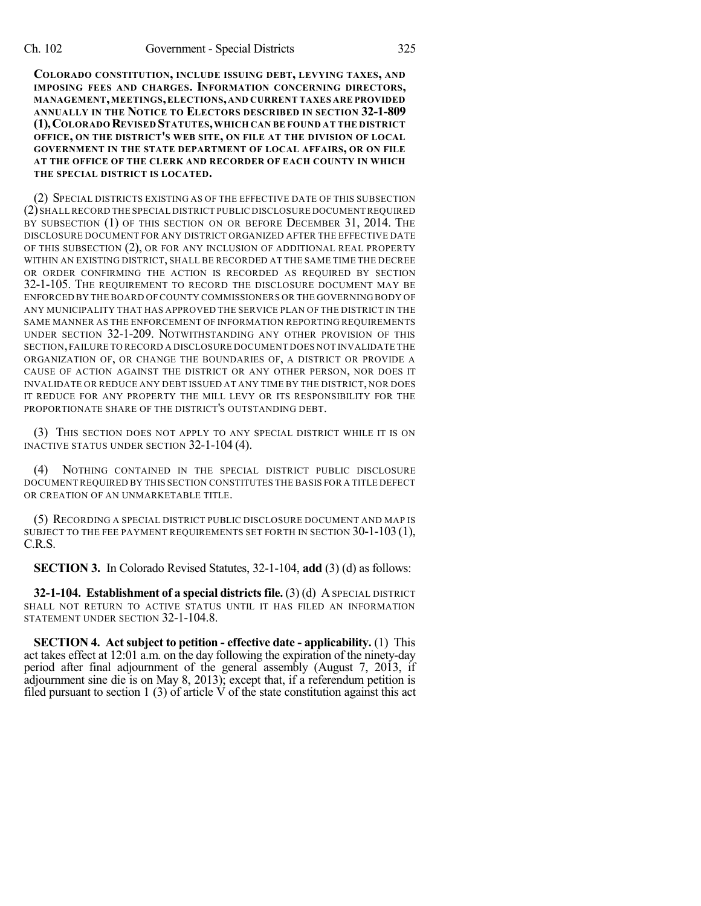**COLORADO CONSTITUTION, INCLUDE ISSUING DEBT, LEVYING TAXES, AND IMPOSING FEES AND CHARGES. INFORMATION CONCERNING DIRECTORS, MANAGEMENT,MEETINGS,ELECTIONS,AND CURRENT TAXES ARE PROVIDED ANNUALLY IN THE NOTICE TO ELECTORS DESCRIBED IN SECTION 32-1-809 (1),COLORADO REVISED STATUTES,WHICH CAN BE FOUND AT THE DISTRICT OFFICE, ON THE DISTRICT'S WEB SITE, ON FILE AT THE DIVISION OF LOCAL GOVERNMENT IN THE STATE DEPARTMENT OF LOCAL AFFAIRS, OR ON FILE AT THE OFFICE OF THE CLERK AND RECORDER OF EACH COUNTY IN WHICH THE SPECIAL DISTRICT IS LOCATED.**

(2) SPECIAL DISTRICTS EXISTING AS OF THE EFFECTIVE DATE OF THIS SUBSECTION (2)SHALLRECORD THE SPECIAL DISTRICT PUBLIC DISCLOSURE DOCUMENT REQUIRED BY SUBSECTION (1) OF THIS SECTION ON OR BEFORE DECEMBER 31, 2014. THE DISCLOSURE DOCUMENT FOR ANY DISTRICT ORGANIZED AFTER THE EFFECTIVE DATE OF THIS SUBSECTION (2), OR FOR ANY INCLUSION OF ADDITIONAL REAL PROPERTY WITHIN AN EXISTING DISTRICT, SHALL BE RECORDED AT THE SAME TIME THE DECREE OR ORDER CONFIRMING THE ACTION IS RECORDED AS REQUIRED BY SECTION 32-1-105. THE REQUIREMENT TO RECORD THE DISCLOSURE DOCUMENT MAY BE ENFORCED BY THE BOARD OF COUNTY COMMISSIONERS OR THE GOVERNING BODY OF ANY MUNICIPALITY THAT HAS APPROVED THE SERVICE PLAN OF THE DISTRICT IN THE SAME MANNER AS THE ENFORCEMENT OF INFORMATION REPORTING REQUIREMENTS UNDER SECTION 32-1-209. NOTWITHSTANDING ANY OTHER PROVISION OF THIS SECTION,FAILURE TO RECORD A DISCLOSURE DOCUMENT DOES NOT INVALIDATE THE ORGANIZATION OF, OR CHANGE THE BOUNDARIES OF, A DISTRICT OR PROVIDE A CAUSE OF ACTION AGAINST THE DISTRICT OR ANY OTHER PERSON, NOR DOES IT INVALIDATE OR REDUCE ANY DEBT ISSUED AT ANY TIME BY THE DISTRICT, NOR DOES IT REDUCE FOR ANY PROPERTY THE MILL LEVY OR ITS RESPONSIBILITY FOR THE PROPORTIONATE SHARE OF THE DISTRICT'S OUTSTANDING DEBT.

(3) THIS SECTION DOES NOT APPLY TO ANY SPECIAL DISTRICT WHILE IT IS ON INACTIVE STATUS UNDER SECTION 32-1-104 (4).

(4) NOTHING CONTAINED IN THE SPECIAL DISTRICT PUBLIC DISCLOSURE DOCUMENT REQUIRED BY THIS SECTION CONSTITUTES THE BASIS FOR A TITLE DEFECT OR CREATION OF AN UNMARKETABLE TITLE.

(5) RECORDING A SPECIAL DISTRICT PUBLIC DISCLOSURE DOCUMENT AND MAP IS SUBJECT TO THE FEE PAYMENT REQUIREMENTS SET FORTH IN SECTION 30-1-103 (1), C.R.S.

**SECTION 3.** In Colorado Revised Statutes, 32-1-104, **add** (3) (d) as follows:

**32-1-104. Establishment of a special districts file.** (3) (d) A SPECIAL DISTRICT SHALL NOT RETURN TO ACTIVE STATUS UNTIL IT HAS FILED AN INFORMATION STATEMENT UNDER SECTION 32-1-104.8.

**SECTION 4. Act subject to petition - effective date - applicability.** (1) This act takes effect at 12:01 a.m. on the day following the expiration of the ninety-day period after final adjournment of the general assembly (August 7, 2013, if adjournment sine die is on May 8, 2013); except that, if a referendum petition is filed pursuant to section 1 (3) of article  $\dot{V}$  of the state constitution against this act